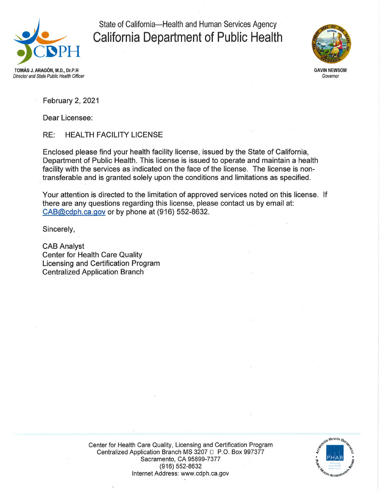

State of California—Health and Human Services Agency California Department of Public Health



**GAVIN NEWSOM** *Governor*

*Director and State Public Health Officer*

February 2, 2021

Dear Licensee:

RE: HEALTH FACILITY LICENSE

Enclosed please find your health facility license, issued by the State of California, Department of Public Health. This license is issued to operate and maintain a health facility with the services as indicated on the face of the license. The license is nontransferable and is granted solely upon the conditions and limitations as specified.

Your attention is directed to the limitation of approved services noted on this license. If there are any questions regarding this license, please contact us by email at: [CAB@cdph.ca.qov](mailto:CAB@cdph.ca.qov) or by phone at (916) 552-8632.

Sincerely,

CAB Analyst Center for Health Care Quality Licensing and Certification Program Centralized Application Branch

> o HIALIH O  $P|H|A|B$ **EL HEALTH ACCREDIT**

Center for Health Care Quality, Licensing and Certification Program Centralized Application Branch MS 3207 P.O. Box 997377 Sacramento, CA 95899-7377 (916) 552-8632 Internet Address: [www.cdph.ca.gov](http://www.cdph.ca.gov)